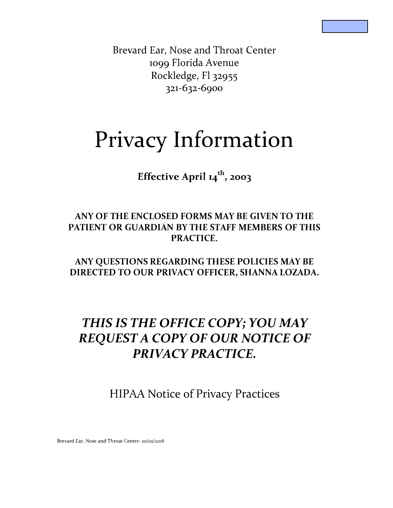Brevard Ear, Nose and Throat Center 1099 Florida A venue Rockledge, Fl 32955 321-632-6900

# **Privacy Information**

**Effective April 14th , 2003**

# **ANY OF THE ENCLOSED FORMS MAY BE GIVEN TO THE PATIENT OR GUARDIAN BY THE STAFF MEMBERS OF THIS PRACTICE.**

**ANY QUESTIONS REGARDING THESE POLICIES MAY BE DIRECTED TO OUR PRIVACY OFFICER, SHANNA LOZADA.** 

# *THIS IS THE OFFICE COPY; YOU MAY REQUEST A COPY OF OUR NOTICE OF PRIVACY PRACTICE.*

HIP AA Notice of Privacy Practices

Brevard Ear, Nose and Throat Center- 10/01/2016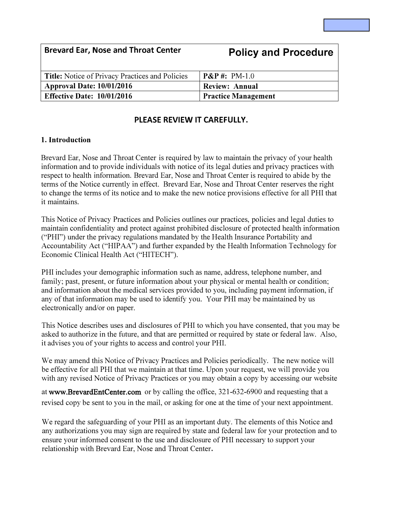| <b>Brevard Ear, Nose and Throat Center</b>             | <b>Policy and Procedure</b> |
|--------------------------------------------------------|-----------------------------|
| <b>Title:</b> Notice of Privacy Practices and Policies | $P\&P\#: PM-1.0$            |
| <b>Approval Date: 10/01/2016</b>                       | <b>Review: Annual</b>       |
| <b>Effective Date: 10/01/2016</b>                      | <b>Practice Management</b>  |

### **PLEASE REVIEW IT CAREFULLY.**

#### **1. Introduction**

Brevard Ear, Nose and Throat Center is required by law to maintain the privacy of your health information and to provide individuals with notice of its legal duties and privacy practices with respect to health information. Brevard Ear, Nose and Throat Center is required to abide by the terms of the Notice currently in effect. Brevard Ear, Nose and Throat Center reserves the right to change the terms of its notice and to make the new notice provisions effective for all PHI that it maintains.

This Notice of Privacy Practices and Policies outlines our practices, policies and legal duties to maintain confidentiality and protect against prohibited disclosure of protected health information ("PHI") under the privacy regulations mandated by the Health Insurance Portability and Accountability Act ("HIPAA") and further expanded by the Health Information Technology for Economic Clinical Health Act ("HITECH").

PHI includes your demographic information such as name, address, telephone number, and family; past, present, or future information about your physical or mental health or condition; and information about the medical services provided to you, including payment information, if any of that information may be used to identify you. Your PHI may be maintained by us electronically and/or on paper.

This Notice describes uses and disclosures of PHI to which you have consented, that you may be asked to authorize in the future, and that are permitted or required by state or federal law. Also, it advises you of your rights to access and control your PHI.

We may amend this Notice of Privacy Practices and Policies periodically. The new notice will be effective for all PHI that we maintain at that time. Upon your request, we will provide you with any revised Notice of Privacy Practices or you may obtain a copy by accessing our website

at www.BrevardEntCenter.com or by calling the office, 321-632-6900 and requesting that a revised copy be sent to you in the mail, or asking for one at the time of your next appointment.

We regard the safeguarding of your PHI as an important duty. The elements of this Notice and any authorizations you may sign are required by state and federal law for your protection and to ensure your informed consent to the use and disclosure of PHI necessary to support your relationship with Brevard Ear, Nose and Throat Center.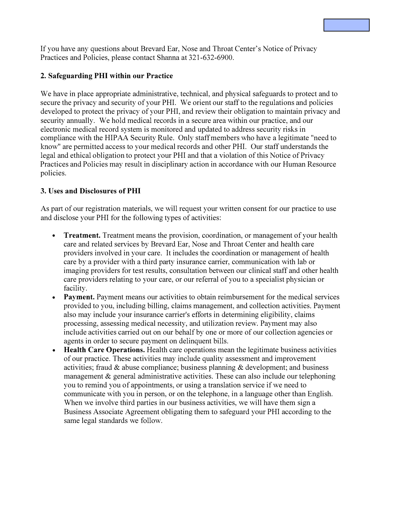If you have any questions about Brevard Ear, Nose and Throat Center's Notice of Privacy Practices and Policies, please contact Shanna at 321-632-6900.

#### **2. Safeguarding PHI within our Practice**

We have in place appropriate administrative, technical, and physical safeguards to protect and to secure the privacy and security of your PHI. We orient our staff to the regulations and policies developed to protect the privacy of your PHI, and review their obligation to maintain privacy and security annually. We hold medical records in a secure area within our practice, and our electronic medical record system is monitored and updated to address security risks in compliance with the HIPAA Security Rule. Only staff members who have a legitimate "need to know" are permitted access to your medical records and other PHI. Our staff understands the legal and ethical obligation to protect your PHI and that a violation of this Notice of Privacy Practices and Policies may result in disciplinary action in accordance with our Human Resource policies.

#### **3. Uses and Disclosures of PHI**

As part of our registration materials, we will request your written consent for our practice to use and disclose your PHI for the following types of activities:

- **Treatment.** Treatment means the provision, coordination, or management of your health care and related services by Brevard Ear, Nose and Throat Center and health care providers involved in your care. It includes the coordination or management of health care by a provider with a third party insurance carrier, communication with lab or imaging providers for test results, consultation between our clinical staff and other health care providers relating to your care, or our referral of you to a specialist physician or facility.
- **Payment.** Payment means our activities to obtain reimbursement for the medical services provided to you, including billing, claims management, and collection activities. Payment also may include your insurance carrier's efforts in determining eligibility, claims processing, assessing medical necessity, and utilization review. Payment may also include activities carried out on our behalf by one or more of our collection agencies or agents in order to secure payment on delinquent bills.
- **Health Care Operations.** Health care operations mean the legitimate business activities of our practice. These activities may include quality assessment and improvement activities; fraud  $\&$  abuse compliance; business planning  $\&$  development; and business management & general administrative activities. These can also include our telephoning you to remind you of appointments, or using a translation service if we need to communicate with you in person, or on the telephone, in a language other than English. When we involve third parties in our business activities, we will have them sign a Business Associate Agreement obligating them to safeguard your PHI according to the same legal standards we follow.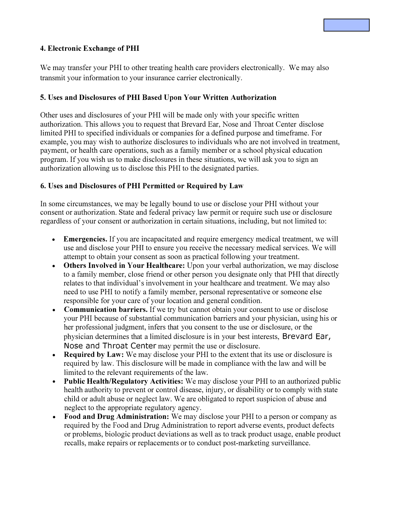#### **4. Electronic Exchange of PHI**

We may transfer your PHI to other treating health care providers electronically. We may also transmit your information to your insurance carrier electronically.

#### **5. Uses and Disclosures of PHI Based Upon Your Written Authorization**

Other uses and disclosures of your PHI will be made only with your specific written authorization. This allows you to request that Brevard Ear, Nose and Throat Center disclose limited PHI to specified individuals or companies for a defined purpose and timeframe. For example, you may wish to authorize disclosures to individuals who are not involved in treatment, payment, or health care operations, such as a family member or a school physical education program. If you wish us to make disclosures in these situations, we will ask you to sign an authorization allowing us to disclose this PHI to the designated parties.

#### **6. Uses and Disclosures of PHI Permitted or Required by Law**

In some circumstances, we may be legally bound to use or disclose your PHI without your consent or authorization. State and federal privacy law permit or require such use or disclosure regardless of your consent or authorization in certain situations, including, but not limited to:

- **Emergencies.** If you are incapacitated and require emergency medical treatment, we will use and disclose your PHI to ensure you receive the necessary medical services. We will attempt to obtain your consent as soon as practical following your treatment.
- **Others Involved in Your Healthcare:** Upon your verbal authorization, we may disclose to a family member, close friend or other person you designate only that PHI that directly relates to that individual's involvement in your healthcare and treatment. We may also need to use PHI to notify a family member, personal representative or someone else responsible for your care of your location and general condition.
- **Communication barriers.** If we try but cannot obtain your consent to use or disclose your PHI because of substantial communication barriers and your physician, using his or her professional judgment, infers that you consent to the use or disclosure, or the physician determines that a limited disclosure is in your best interests, Brevard Ear, Nose and Throat Center may permit the use or disclosure.
- **Required by Law:** We may disclose your PHI to the extent that its use or disclosure is required by law. This disclosure will be made in compliance with the law and will be limited to the relevant requirements of the law.
- **Public Health/Regulatory Activities:** We may disclose your PHI to an authorized public health authority to prevent or control disease, injury, or disability or to comply with state child or adult abuse or neglect law. We are obligated to report suspicion of abuse and neglect to the appropriate regulatory agency.
- **Food and Drug Administration:** We may disclose your PHI to a person or company as required by the Food and Drug Administration to report adverse events, product defects or problems, biologic product deviations as well as to track product usage, enable product recalls, make repairs or replacements or to conduct post-marketing surveillance.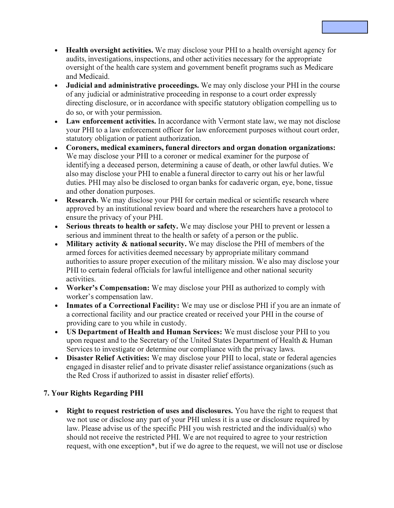- **Health oversight activities.** We may disclose your PHI to a health oversight agency for audits, investigations, inspections, and other activities necessary for the appropriate oversight of the health care system and government benefit programs such as Medicare and Medicaid.
- **Judicial and administrative proceedings.** We may only disclose your PHI in the course of any judicial or administrative proceeding in response to a court order expressly directing disclosure, or in accordance with specific statutory obligation compelling us to do so, or with your permission.
- **Law enforcement activities.** In accordance with Vermont state law, we may not disclose your PHI to a law enforcement officer for law enforcement purposes without court order, statutory obligation or patient authorization.
- **Coroners, medical examiners, funeral directors and organ donation organizations:** We may disclose your PHI to a coroner or medical examiner for the purpose of identifying a deceased person, determining a cause of death, or other lawful duties. We also may disclose your PHI to enable a funeral director to carry out his or her lawful duties. PHI may also be disclosed to organ banks for cadaveric organ, eye, bone, tissue and other donation purposes.
- **Research.** We may disclose your PHI for certain medical or scientific research where approved by an institutional review board and where the researchers have a protocol to ensure the privacy of your PHI.
- **Serious threats to health or safety.** We may disclose your PHI to prevent or lessen a serious and imminent threat to the health or safety of a person or the public.
- **Military activity** & **national security.** We may disclose the PHI of members of the armed forces for activities deemed necessary by appropriate military command authorities to assure proper execution of the military mission. We also may disclose your PHI to certain federal officials for lawful intelligence and other national security activities.
- **Worker's Compensation:** We may disclose your PHI as authorized to comply with worker's compensation law.
- **Inmates of a Correctional Facility:** We may use or disclose PHI if you are an inmate of a correctional facility and our practice created or received your PHI in the course of providing care to you while in custody.
- **US Department of Health and Human Services:** We must disclose your PHI to you upon request and to the Secretary of the United States Department of Health & Human Services to investigate or determine our compliance with the privacy laws.
- **Disaster Relief Activities:** We may disclose your PHI to local, state or federal agencies engaged in disaster relief and to private disaster relief assistance organizations (such as the Red Cross if authorized to assist in disaster relief efforts).

## **7. Your Rights Regarding PHI**

• **Right to request restriction of uses and disclosures.** You have the right to request that we not use or disclose any part of your PHI unless it is a use or disclosure required by law. Please advise us of the specific PHI you wish restricted and the individual(s) who should not receive the restricted PHI. We are not required to agree to your restriction request, with one exception\*, but if we do agree to the request, we will not use or disclose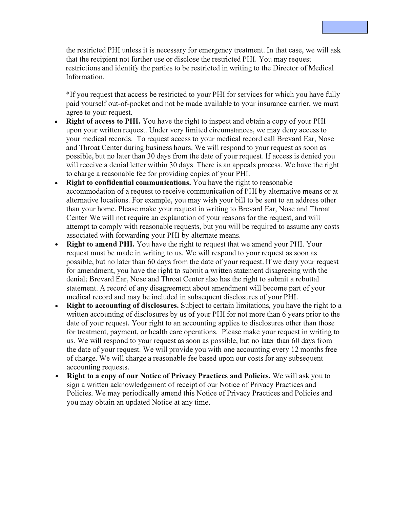the restricted PHI unless it is necessary for emergency treatment. In that case, we will ask that the recipient not further use or disclose the restricted PHI. You may request restrictions and identify the parties to be restricted in writing to the Director of Medical Information.

\*If you request that access be restricted to your PHI for services for which you have fully paid yourself out-of-pocket and not be made available to your insurance carrier, we must agree to your request.

- **Right of access to PHI.** You have the right to inspect and obtain a copy of your PHI upon your written request. Under very limited circumstances, we may deny access to your medical records. To request access to your medical record call Brevard Ear, Nose and Throat Center during business hours. We will respond to your request as soon as possible, but no later than 30 days from the date of your request. If access is denied you will receive a denial letter within 30 days. There is an appeals process. We have the right to charge a reasonable fee for providing copies of your PHI.
- **Right to confidential communications.** You have the right to reasonable accommodation of a request to receive communication of PHI by alternative means or at alternative locations. For example, you may wish your bill to be sent to an address other than your home. Please make your request in writing to Brevard Ear, Nose and Throat Center We will not require an explanation of your reasons for the request, and will attempt to comply with reasonable requests, but you will be required to assume any costs associated with forwarding your PHI by alternate means.
- **Right to amend PHI.** You have the right to request that we amend your PHI. Your request must be made in writing to us. We will respond to your request as soon as possible, but no later than 60 days from the date of your request. If we deny your request for amendment, you have the right to submit a written statement disagreeing with the denial; Brevard Ear, Nose and Throat Center also has the right to submit a rebuttal statement. A record of any disagreement about amendment will become part of your medical record and may be included in subsequent disclosures of your PHI.
- **Right to accounting of disclosures.** Subject to certain limitations, you have the right to a written accounting of disclosures by us of your PHI for not more than 6 years prior to the date of your request. Your right to an accounting applies to disclosures other than those for treatment, payment, or health care operations. Please make your request in writing to us. We will respond to your request as soon as possible, but no later than 60 days from the date of your request. We will provide you with one accounting every 12 months free of charge. We will charge a reasonable fee based upon our costs for any subsequent accounting requests.
- **Right to a copy of our Notice of Privacy Practices and Policies.** We will ask you to sign a written acknowledgement of receipt of our Notice of Privacy Practices and Policies. We may periodically amend this Notice of Privacy Practices and Policies and you may obtain an updated Notice at any time.